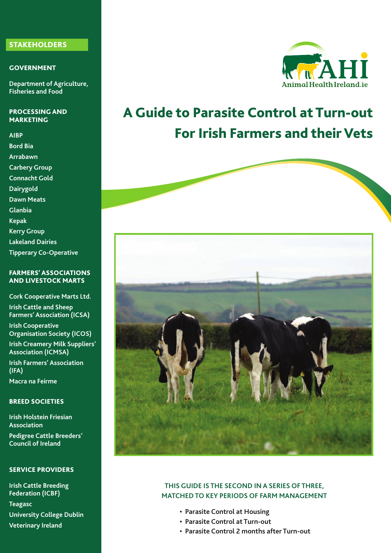#### **STAKEHOLDERS**

#### **GOVERNMENT**

**Department of Agriculture, Fisheries and Food**

#### **PROCESSING AND MARKETING**

**AIBP Bord Bia Arrabawn Carbery Group Connacht Gold Dairygold Dawn Meats Glanbia Kepak Kerry Group Lakeland Dairies Tipperary Co-Operative**

#### **FARMERS' ASSOCIATIONS AND LIVESTOCK MARTS**

**Cork Cooperative Marts Ltd. Irish Cattle and Sheep Farmers' Association (ICSA)**

**Irish Cooperative Organisation Society (ICOS)**

**Irish Creamery Milk Suppliers' Association (ICMSA) Irish Farmers' Association**

**(IFA) Macra na Feirme**

#### **BREED SOCIETIES**

**Irish Holstein Friesian Association Pedigree Cattle Breeders' Council of Ireland**

#### **SERVICE PROVIDERS**

**Irish Cattle Breeding Federation (ICBF) Teagasc University College Dublin Veterinary Ireland**



# **A Guide to Parasite Control at Turn-out For Irish Farmers and their Vets**



#### **THIS GUIDE IS THE SECOND IN A SERIES OF THREE, MATCHEDTO KEY PERIODS OF FARM MANAGEMENT**

- **• Parasite Control at Housing**
- **• Parasite Control at Turn-out**
- **• Parasite Control 2 months after Turn-out**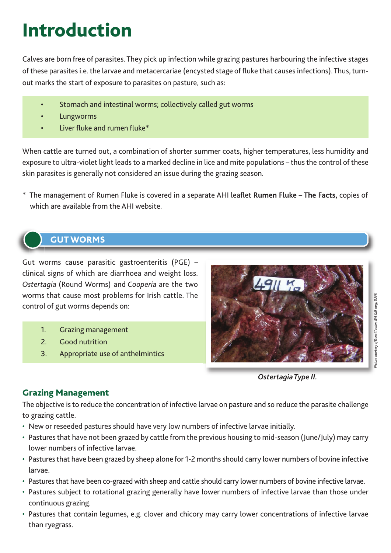# **Introduction**

Calves are born free of parasites. They pick up infection while grazing pastures harbouring the infective stages of these parasites i.e. the larvae and metacercariae (encysted stage of fluke that causes infections). Thus, turnout marks the start of exposure to parasites on pasture, such as:

- Stomach and intestinal worms; collectively called gut worms
- **Lungworms**
- Liver fluke and rumen fluke\*

When cattle are turned out, a combination of shorter summer coats, higher temperatures, less humidity and exposure to ultra-violet light leads to a marked decline in lice and mite populations – thus the control of these skin parasites is generally not considered an issue during the grazing season.

\* The management of Rumen Fluke is covered in a separate AHI leaflet **Rumen Fluke – The Facts,** copies of which are available from the AHI website.

# **GUT WORMS**

Gut worms cause parasitic gastroenteritis (PGE) – clinical signs of which are diarrhoea and weight loss. *Ostertagia* (Round Worms) and *Cooperia* are the two worms that cause most problems for Irish cattle. The control of gut worms depends on:

- 1. Grazing management
- 2. Good nutrition
- 3. Appropriate use of anthelmintics



*OstertagiaType II.*

# **Grazing Management**

The objective isto reduce the concentration of infective larvae on pasture and so reduce the parasite challenge to grazing cattle.

- New or reseeded pastures should have very low numbers of infective larvae initially.
- Pastures that have not been grazed by cattle from the previous housing to mid-season (June/July) may carry lower numbers of infective larvae.
- Pastures that have been grazed by sheep alone for 1-2 months should carry lower numbers of bovine infective larvae.
- Pastures that have been co-grazed with sheep and cattle should carry lower numbers of bovine infective larvae.
- Pastures subject to rotational grazing generally have lower numbers of infective larvae than those under continuous grazing.
- Pastures that contain legumes, e.g. clover and chicory may carry lower concentrations of infective larvae than ryegrass.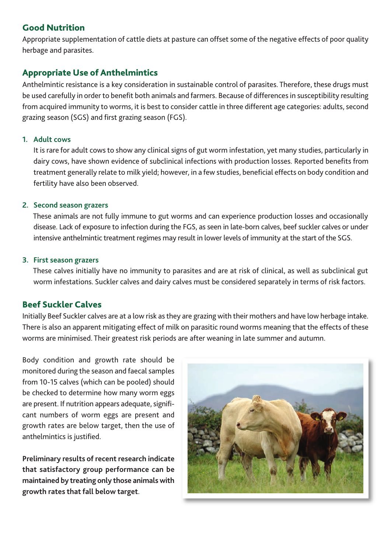## **Good Nutrition**

Appropriate supplementation of cattle diets at pasture can offset some of the negative effects of poor quality herbage and parasites.

# **Appropriate Use of Anthelmintics**

Anthelmintic resistance is a key consideration in sustainable control of parasites. Therefore, these drugs must be used carefully in order to benefit both animals and farmers. Because of differences in susceptibility resulting from acquired immunity to worms, it is best to consider cattle in three different age categories: adults, second grazing season (SGS) and first grazing season (FGS).

#### **1. Adult cows**

It is rare for adult cows to show any clinical signs of gut worm infestation, yet many studies, particularly in dairy cows, have shown evidence of subclinical infections with production losses. Reported benefits from treatment generally relate to milk yield; however, in a few studies, beneficial effects on body condition and fertility have also been observed.

#### **2. Second season grazers**

These animals are not fully immune to gut worms and can experience production losses and occasionally disease. Lack of exposure to infection during the FGS, as seen in late-born calves, beef suckler calves or under intensive anthelmintic treatment regimes may result in lower levels of immunity at the start of the SGS.

#### **3. First season grazers**

These calves initially have no immunity to parasites and are at risk of clinical, as well as subclinical gut worm infestations. Suckler calves and dairy calves must be considered separately in terms of risk factors.

## **Beef Suckler Calves**

Initially Beef Suckler calves are at a low risk asthey are grazing with their mothers and have low herbage intake. There is also an apparent mitigating effect of milk on parasitic round worms meaning that the effects of these worms are minimised. Their greatest risk periods are after weaning in late summer and autumn.

Body condition and growth rate should be monitored during the season and faecal samples from 10-15 calves (which can be pooled) should be checked to determine how many worm eggs are present. If nutrition appears adequate, significant numbers of worm eggs are present and growth rates are below target, then the use of anthelmintics is justified.

**Preliminary results of recent research indicate that satisfactory group performance can be maintained by treating only those animals with growth rates that fall below target**.

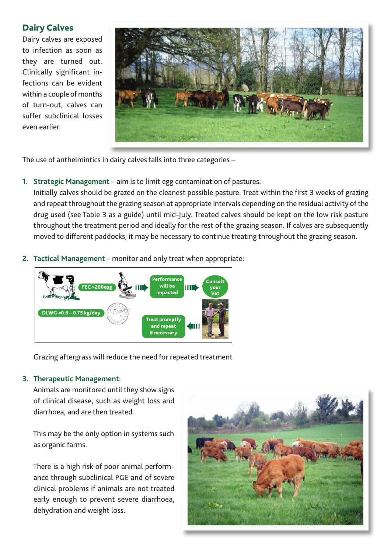## **Dairy Calves**

Dairy calves are exposed to infection as soon as they are turned out. Clinically significant infections can be evident within a couple of months of turn-out, calves can suffer subclinical losses even earlier.



The use of anthelmintics in dairy calves falls into three categories –

**1. Strategic Management** – aim is to limit egg contamination of pastures:

Initially calves should be grazed on the cleanest possible pasture. Treat within the first 3 weeks of grazing and repeat throughout the grazing season at appropriate intervals depending on the residual activity of the drug used (see Table 3 as a guide) until mid-July. Treated calves should be kept on the low risk pasture throughout the treatment period and ideally for the rest of the grazing season. If calves are subsequently moved to different paddocks, it may be necessary to continue treating throughout the grazing season.

**2. Tactical Management** – monitor and only treat when appropriate:



Grazing aftergrass will reduce the need for repeated treatment

#### **3. Therapeutic Management**:

Animals are monitored until they show signs of clinical disease, such as weight loss and diarrhoea, and are then treated.

This may be the only option in systems such as organic farms.

There is a high risk of poor animal performance through subclinical PGE and of severe clinical problems if animals are not treated early enough to prevent severe diarrhoea, dehydration and weight loss.

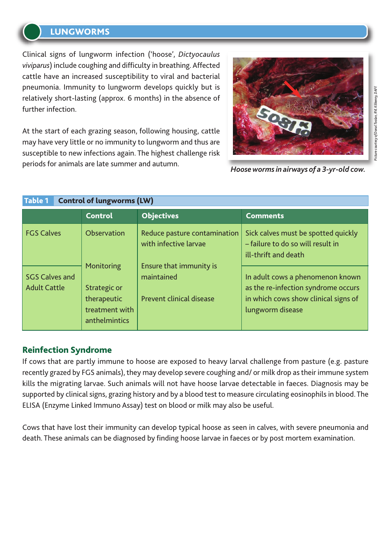# **LUNGWORMS**

Clinical signs of lungworm infection ('hoose', *Dictyocaulus viviparus*) include coughing and difficulty in breathing. Affected cattle have an increased susceptibility to viral and bacterial pneumonia. Immunity to lungworm develops quickly but is relatively short-lasting (approx. 6 months) in the absence of further infection.

At the start of each grazing season, following housing, cattle may have very little or no immunity to lungworm and thus are susceptible to new infections again. The highest challenge risk periods for animals are late summer and autumn.



*Hoosewormsin airways of a 3-yr-old cow.*

| <b>Control of lungworms (LW)</b><br><b>Table 1</b> |                                                                              |                                                                                                                                   |                                                                                                                                     |  |  |  |  |  |  |
|----------------------------------------------------|------------------------------------------------------------------------------|-----------------------------------------------------------------------------------------------------------------------------------|-------------------------------------------------------------------------------------------------------------------------------------|--|--|--|--|--|--|
|                                                    | <b>Control</b>                                                               | <b>Objectives</b>                                                                                                                 | <b>Comments</b>                                                                                                                     |  |  |  |  |  |  |
| <b>FGS Calves</b>                                  | Observation                                                                  | Reduce pasture contamination<br>with infective larvae<br>Ensure that immunity is<br>maintained<br><b>Prevent clinical disease</b> | Sick calves must be spotted quickly<br>- failure to do so will result in<br>ill-thrift and death                                    |  |  |  |  |  |  |
| <b>SGS Calves and</b><br><b>Adult Cattle</b>       | Monitoring<br>Strategic or<br>therapeutic<br>treatment with<br>anthelmintics |                                                                                                                                   | In adult cows a phenomenon known<br>as the re-infection syndrome occurs<br>in which cows show clinical signs of<br>lungworm disease |  |  |  |  |  |  |

## **Reinfection Syndrome**

If cows that are partly immune to hoose are exposed to heavy larval challenge from pasture (e.g. pasture recently grazed by FGS animals), they may develop severe coughing and/ or milk drop as their immune system kills the migrating larvae. Such animals will not have hoose larvae detectable in faeces. Diagnosis may be supported by clinical signs, grazing history and by a blood test to measure circulating eosinophils in blood. The ELISA (Enzyme Linked Immuno Assay) test on blood or milk may also be useful.

Cows that have lost their immunity can develop typical hoose as seen in calves, with severe pneumonia and death. These animals can be diagnosed by finding hoose larvae in faeces or by post mortem examination.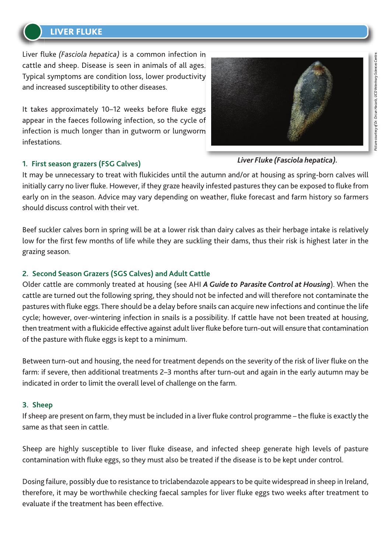# **LIVER FLUKE**

Liver fluke *(Fasciola hepatica)* is a common infection in cattle and sheep. Disease is seen in animals of all ages. Typical symptoms are condition loss, lower productivity and increased susceptibility to other diseases.

It takes approximately 10–12 weeks before fluke eggs appear in the faeces following infection, so the cycle of infection is much longer than in gutworm or lungworm infestations.

*Liver Fluke (Fasciola hepatica).*

#### **1. First season grazers (FSG Calves)**

It may be unnecessary to treat with flukicides until the autumn and/or at housing as spring-born calves will initially carry no liver fluke. However, if they graze heavily infested pastures they can be exposed to fluke from early on in the season. Advice may vary depending on weather, fluke forecast and farm history so farmers should discuss control with their vet.

Beef suckler calves born in spring will be at a lower risk than dairy calves as their herbage intake is relatively low for the first few months of life while they are suckling their dams, thus their risk is highest later in the grazing season.

## **2. Second Season Grazers (SGS Calves) and Adult Cattle**

Older cattle are commonly treated at housing (see AHI *AGuide to Parasite Control at Housing*). When the cattle are turned out the following spring, they should not be infected and will therefore not contaminate the pastures with fluke eggs. There should be a delay before snails can acquire new infections and continue the life cycle; however, over-wintering infection in snails is a possibility. If cattle have not been treated at housing, then treatment with a flukicide effective against adult liver fluke before turn-out will ensure that contamination of the pasture with fluke eggs is kept to a minimum.

Between turn-out and housing, the need for treatment depends on the severity of the risk of liver fluke on the farm: if severe, then additional treatments 2–3 months after turn-out and again in the early autumn may be indicated in order to limit the overall level of challenge on the farm.

#### **3. Sheep**

If sheep are present on farm, they must be included in a liver fluke control programme – the fluke is exactly the same as that seen in cattle.

Sheep are highly susceptible to liver fluke disease, and infected sheep generate high levels of pasture contamination with fluke eggs, so they must also be treated if the disease is to be kept under control.

Dosing failure, possibly due to resistance to triclabendazole appears to be quite widespread in sheep in Ireland, therefore, it may be worthwhile checking faecal samples for liver fluke eggs two weeks after treatment to evaluate if the treatment has been effective.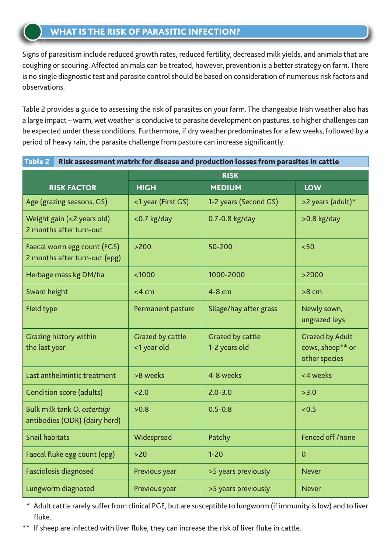Signs of parasitism include reduced growth rates, reduced fertility, decreased milk yields, and animals that are coughing or scouring. Affected animals can be treated, however, prevention is a better strategy on farm. There is no single diagnostic test and parasite control should be based on consideration of numerous risk factors and observations.

Table 2 provides a guide to assessing the risk of parasites on your farm. The changeable Irish weather also has a large impact – warm, wet weather is conducive to parasite development on pastures, so higher challenges can be expected under these conditions. Furthermore, if dry weather predominates for a few weeks, followed by a period of heavy rain, the parasite challenge from pasture can increase significantly.

**Table 2 Risk assessment matrix for disease and production losses from parasites in cattle**

|                                                              | <u>idad – That assessment man iv for alsease and hraaecian tosses man harasics in cattle</u><br><b>RISK</b> |                                   |                                                             |  |  |  |  |
|--------------------------------------------------------------|-------------------------------------------------------------------------------------------------------------|-----------------------------------|-------------------------------------------------------------|--|--|--|--|
| <b>RISK FACTOR</b>                                           | <b>HIGH</b>                                                                                                 | <b>MEDIUM</b>                     | <b>LOW</b>                                                  |  |  |  |  |
| Age (grazing seasons, GS)                                    | <1 year (First GS)                                                                                          | 1-2 years (Second GS)             | >2 years (adult)*                                           |  |  |  |  |
| Weight gain (<2 years old)<br>2 months after turn-out        | $<$ 0.7 kg/day                                                                                              | 0.7-0.8 kg/day                    | $>0.8$ kg/day                                               |  |  |  |  |
| Faecal worm egg count (FGS)<br>2 months after turn-out (epg) | $>200$                                                                                                      | 50-200                            | < 50                                                        |  |  |  |  |
| Herbage mass kg DM/ha                                        | $1000$                                                                                                      | 1000-2000                         | >2000                                                       |  |  |  |  |
| Sward height                                                 | $<$ 4 cm                                                                                                    | 4-8 cm                            | $>8$ cm                                                     |  |  |  |  |
| Field type                                                   | Permanent pasture                                                                                           | Silage/hay after grass            | Newly sown,<br>ungrazed leys                                |  |  |  |  |
| <b>Grazing history within</b><br>the last year               | Grazed by cattle<br><1 year old                                                                             | Grazed by cattle<br>1-2 years old | <b>Grazed by Adult</b><br>cows, sheep** or<br>other species |  |  |  |  |
| Last anthelmintic treatment                                  | >8 weeks                                                                                                    | 4-8 weeks                         | <4 weeks                                                    |  |  |  |  |
| Condition score (adults)                                     | 2.0                                                                                                         | $2.0 - 3.0$                       | >3.0                                                        |  |  |  |  |
| Bulk milk tank O. ostertagi<br>antibodies (ODR) (dairy herd) | >0.8                                                                                                        | $0.5 - 0.8$                       | < 0.5                                                       |  |  |  |  |
| <b>Snail habitats</b>                                        | Widespread                                                                                                  | Patchy                            | Fenced off /none                                            |  |  |  |  |
| Faecal fluke egg count (epg)                                 | $>20$                                                                                                       | $1 - 20$                          | $\overline{0}$                                              |  |  |  |  |
| <b>Fasciolosis diagnosed</b>                                 | Previous year                                                                                               | >5 years previously               | <b>Never</b>                                                |  |  |  |  |
| Lungworm diagnosed                                           | Previous year                                                                                               | >5 years previously               | <b>Never</b>                                                |  |  |  |  |

\* Adult cattle rarely sufferfrom clinical PGE, but are susceptible to lungworm (if immunity islow) and to liver fluke.

\*\* If sheep are infected with liver fluke, they can increase the risk of liver fluke in cattle.